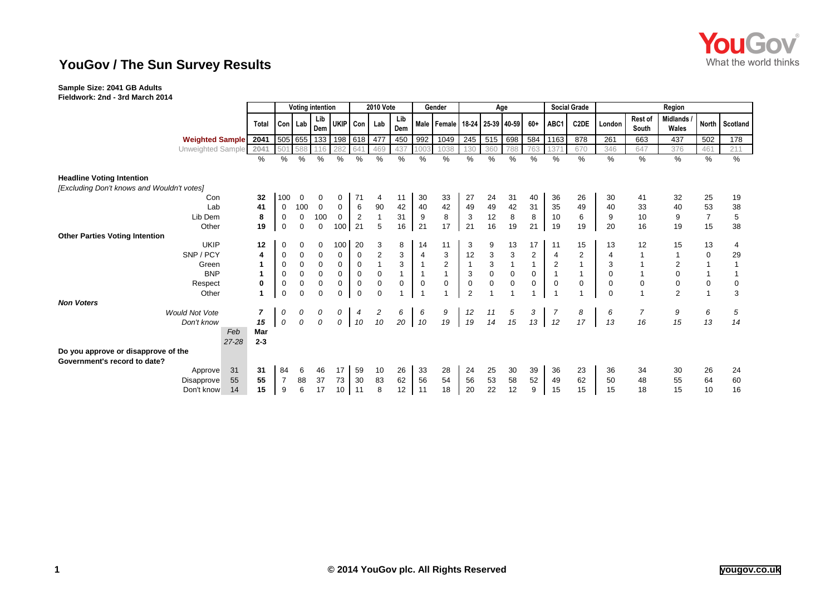

# **YouGov / The Sun Survey Results**

#### **Sample Size: 2041 GB Adults Fieldwork: 2nd - 3rd March 2014**

|                                            |                | <b>Voting intention</b> |             |             |             | <b>2010 Vote</b> |                | Gender       |                | Age                                   |                |               |                |                | <b>Social Grade</b> | Region         |             |                         |                          |                |            |
|--------------------------------------------|----------------|-------------------------|-------------|-------------|-------------|------------------|----------------|--------------|----------------|---------------------------------------|----------------|---------------|----------------|----------------|---------------------|----------------|-------------|-------------------------|--------------------------|----------------|------------|
|                                            | <b>Total</b>   |                         | Con Lab     | Lib<br>Dem  | UKIP Con    |                  | Lab            | Lib<br>Dem   |                | Male   Female   18-24   25-39   40-59 |                |               |                | $60+$          | ABC1                | C2DE           | London      | <b>Rest of</b><br>South | <b>Midlands</b><br>Wales | <b>North</b>   | Scotland   |
| <b>Weighted Sample</b> 2041                |                |                         |             | 505 655 133 |             |                  | 198 618 477    | 450          | 992            | 1049                                  | 245            | 515           | 698            | 584            | 1163                | 878            | 261         | 663                     | 437                      | 502            | 178        |
| Unweighted Sample                          | 2041           | 501                     | 588         | 116         | 282         | 641              | 469            | 437          | 1003           | 1038                                  | 130            | 360           | 788            | 763            | 137                 | 670            | 346         | 647                     | 376                      | 461            | 211        |
|                                            | %              | %                       | %           | $\%$        | %           | $\%$             | %              | %            | %              | %                                     | %              | $\frac{0}{0}$ | $\%$           | %              | %                   | %              | %           | $\%$                    | %                        | %              | %          |
| <b>Headline Voting Intention</b>           |                |                         |             |             |             |                  |                |              |                |                                       |                |               |                |                |                     |                |             |                         |                          |                |            |
| [Excluding Don't knows and Wouldn't votes] |                |                         |             |             |             |                  |                |              |                |                                       |                |               |                |                |                     |                |             |                         |                          |                |            |
| Con                                        | 32             | 100                     | $\mathbf 0$ | 0           | 0           | 71               | 4              | 11           | 30             | 33                                    | 27             | 24            | 31             | 40             | 36                  | 26             | 30          | 41                      | 32                       | 25             | 19         |
| Lab                                        | 41             | 0                       | 100         | $\mathbf 0$ | $\mathbf 0$ | 6                | 90             | 42           | 40             | 42                                    | 49             | 49            | 42             | 31             | 35                  | 49             | 40          | 33                      | 40                       | 53             | 38         |
| Lib Dem                                    | 8              | 0                       | $\mathbf 0$ | 100         | $\mathbf 0$ | $\overline{2}$   |                | 31           | 9              | 8                                     | 3              | 12            | 8              | 8              | 10                  | 6              | 9           | 10                      | 9                        | $\overline{7}$ | $\sqrt{5}$ |
| Other                                      | 19             | $\mathbf 0$             | 0           | $\mathbf 0$ | 100         | 21               | 5              | 16           | 21             | 17                                    | 21             | 16            | 19             | 21             | 19                  | 19             | 20          | 16                      | 19                       | 15             | 38         |
| <b>Other Parties Voting Intention</b>      |                |                         |             |             |             |                  |                |              |                |                                       |                |               |                |                |                     |                |             |                         |                          |                |            |
| <b>UKIP</b>                                | 12             | 0                       | 0           | 0           | 100         | 20               | 3              | 8            | 14             | 11                                    | 3              | 9             | 13             | 17             | 11                  | 15             | 13          | 12                      | 15                       | 13             | 4          |
| SNP / PCY                                  | 4              | 0                       | $\mathbf 0$ | 0           | 0           | 0                | $\overline{2}$ | 3            | 4              | 3                                     | 12             | 3             | $\mathbf 3$    | $\overline{2}$ | $\overline{4}$      | $\overline{2}$ |             |                         |                          | 0              | 29         |
| Green                                      | 1              | $\mathbf 0$             | $\mathbf 0$ | $\mathbf 0$ | $\mathbf 0$ | $\mathbf 0$      | $\mathbf{1}$   | $\mathbf{3}$ | $\mathbf{1}$   | $\overline{2}$                        | $\mathbf{1}$   | 3             | $\overline{1}$ | $\mathbf{1}$   | 2                   |                | 3           |                         | $\overline{2}$           |                |            |
| <b>BNP</b>                                 | 1              | 0                       | 0           | $\mathbf 0$ | $\mathbf 0$ | 0                | $\mathbf 0$    | $\mathbf{1}$ | $\mathbf{1}$   | $\mathbf{1}$                          | 3              | $\mathbf 0$   | $\pmb{0}$      | 0              |                     | $\overline{1}$ | $\mathbf 0$ |                         | $\mathbf 0$              |                |            |
| Respect                                    | $\bf{0}$       | $\boldsymbol{0}$        | $\mathbf 0$ | $\pmb{0}$   | $\mathbf 0$ | $\mathbf 0$      | $\mathbf 0$    | $\mathbf 0$  | $\mathbf 0$    | $\mathbf 0$                           | $\mathbf 0$    | $\mathbf 0$   | $\mathbf 0$    | $\mathbf 0$    | $\mathbf 0$         | $\mathbf 0$    | $\mathbf 0$ | $\pmb{0}$               | $\mathbf 0$              | $\mathbf 0$    | 0          |
| Other                                      | $\mathbf{1}$   | 0                       | $\mathbf 0$ | $\mathbf 0$ | $\mathbf 0$ | $\mathbf 0$      | $\Omega$       |              | $\overline{1}$ |                                       | $\overline{2}$ |               |                |                |                     |                | $\Omega$    |                         | $\overline{2}$           |                | 3          |
| <b>Non Voters</b>                          |                |                         |             |             |             |                  |                |              |                |                                       |                |               |                |                |                     |                |             |                         |                          |                |            |
| <b>Would Not Vote</b>                      | $\overline{ }$ | 0                       | 0           | 0           | 0           | 4                | 2              | 6            | 6              | 9                                     | 12             | 11            | $\frac{5}{15}$ | 3              | -7                  | 8              | 6           | 7                       | 9                        | 6              | 5          |
| Don't know                                 | 15             | 0                       | 0           | 0           | 0           | 10               | 10             | 20           | 10             | $19$                                  | 19             | 14            |                | 13             | 12                  | 17             | 13          | 16                      | 15                       | 13             | 14         |
| Feb                                        | Mar            |                         |             |             |             |                  |                |              |                |                                       |                |               |                |                |                     |                |             |                         |                          |                |            |
| $27 - 28$                                  | $2 - 3$        |                         |             |             |             |                  |                |              |                |                                       |                |               |                |                |                     |                |             |                         |                          |                |            |
| Do you approve or disapprove of the        |                |                         |             |             |             |                  |                |              |                |                                       |                |               |                |                |                     |                |             |                         |                          |                |            |
| Government's record to date?               |                |                         |             |             |             |                  |                |              |                |                                       |                |               |                |                |                     |                |             |                         |                          |                |            |
| 31<br>Approve                              | 31             | 84                      | 6           | 46          | 17          | 59               | 10             | 26           | 33             | 28                                    | 24             | 25            | 30             | 39             | 36                  | 23             | 36          | 34                      | 30                       | 26             | 24         |
| 55<br>Disapprove                           | 55             | 7                       | 88          | 37          | 73          | 30               | 83             | 62           | 56             | 54                                    | 56             | 53            | 58             | 52             | 49                  | 62             | 50          | 48                      | 55                       | 64             | 60         |
| Don't know<br>14                           | 15             | 9                       | 6           | 17          | 10          | 11               | 8              | 12           | 11             | 18                                    | 20             | 22            | 12             | 9              | 15                  | 15             | 15          | 18                      | 15                       | 10             | 16         |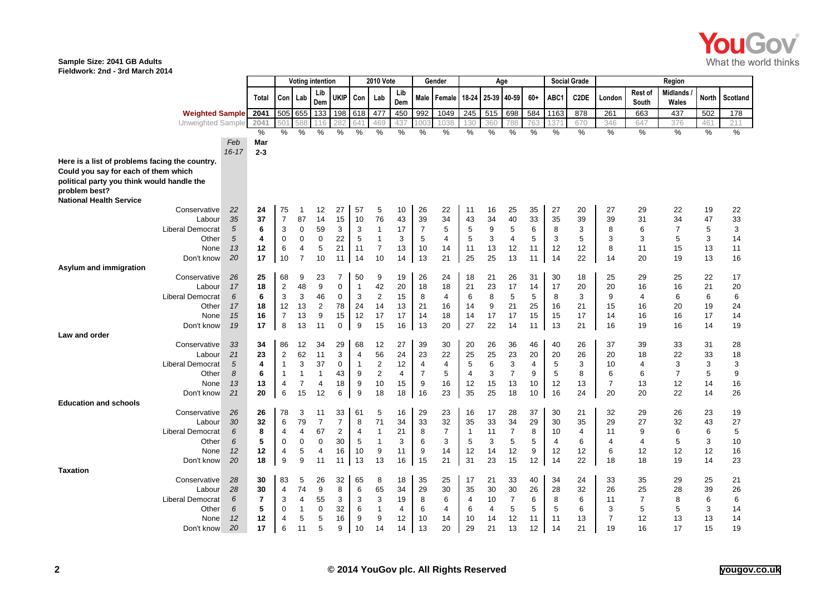

#### **Sample Size: 2041 GB Adults Fieldwork: 2nd - 3rd March 2014**

|                                                |           |                          | <b>Voting intention</b> |                  | <b>2010 Vote</b> |                |                | Gender                  |                      | Age            |                |                |                      |                | <b>Social Grade</b> | Region         |         |                     |                  |                          |              |          |
|------------------------------------------------|-----------|--------------------------|-------------------------|------------------|------------------|----------------|----------------|-------------------------|----------------------|----------------|----------------|----------------|----------------------|----------------|---------------------|----------------|---------|---------------------|------------------|--------------------------|--------------|----------|
|                                                |           | Total                    | Con                     | Lab              | Lib<br>Dem       | <b>UKIP</b>    | Con            | Lab                     | Lib<br>Dem           | Male           | Female         | 18-24          | 25-39                | 40-59          | $60+$               | ABC1           | C2DE    | London              | Rest of<br>South | <b>Midlands</b><br>Wales | <b>North</b> | Scotland |
| <b>Weighted Sample</b>                         |           | 2041                     | 505                     | 655              | 133              | 198            | 618            | 477                     | 450                  | 992            | 1049           | 245            | 515                  | 698            | 584                 | 1163           | 878     | 261                 | 663              | 437                      | 502          | 178      |
| <b>Unweighted Sample</b>                       |           | 2041                     | 501                     | 588              | 116              | 282            | 641            | 469                     | 437                  | 100            | 1038           | 130            | 360                  | 788            | 763                 | 137            | 670     | 346                 | 647              | 376                      | 461          | 211      |
|                                                |           | $\%$                     | $\%$                    | %                | %                | %              | $\%$           | %                       | $\%$                 | %              | %              | $\frac{0}{0}$  | %                    | $\%$           | %                   | %              | %       | $\frac{0}{0}$       | %                | $\frac{1}{2}$            | %            | %        |
|                                                | Feb       | Mar                      |                         |                  |                  |                |                |                         |                      |                |                |                |                      |                |                     |                |         |                     |                  |                          |              |          |
| Here is a list of problems facing the country. | $16 - 17$ | $2 - 3$                  |                         |                  |                  |                |                |                         |                      |                |                |                |                      |                |                     |                |         |                     |                  |                          |              |          |
| Could you say for each of them which           |           |                          |                         |                  |                  |                |                |                         |                      |                |                |                |                      |                |                     |                |         |                     |                  |                          |              |          |
| political party you think would handle the     |           |                          |                         |                  |                  |                |                |                         |                      |                |                |                |                      |                |                     |                |         |                     |                  |                          |              |          |
| problem best?                                  |           |                          |                         |                  |                  |                |                |                         |                      |                |                |                |                      |                |                     |                |         |                     |                  |                          |              |          |
| <b>National Health Service</b>                 |           |                          |                         |                  |                  |                |                |                         |                      |                |                |                |                      |                |                     |                |         |                     |                  |                          |              |          |
| Conservative                                   | 22        | 24                       | 75                      | -1               | 12               | 27             | 57             | 5                       | 10                   | 26             | 22             | 11             | 16                   | 25             | 35                  | 27             | 20      | 27                  | 29               | 22                       | 19           | 22       |
| Labour                                         | 35        | 37                       | $\overline{7}$          | 87               | 14               | 15             | 10             | 76                      | 43                   | 39             | 34             | 43             | 34                   | 40             | 33                  | 35             | 39      | 39                  | 31               | 34                       | 47           | 33       |
| <b>Liberal Democrat</b>                        | 5         | 6                        | 3                       | 0                | 59               | 3              | 3              | $\mathbf{1}$            | 17                   | $\overline{7}$ | 5              | 5              | 9                    | 5              | 6                   | 8              | 3       | 8                   | 6                | $\overline{7}$           | 5            | 3        |
| Other                                          | 5         | 4                        | $\mathbf 0$             | 0                | 0                | 22             | 5              | -1                      | 3                    | 5              | 4              | 5              | 3                    | $\overline{4}$ | 5                   | 3              | 5       | 3                   | 3                | 5                        | 3            | 14       |
| None                                           | 13        | 12                       | 6                       | 4                | 5                | 21             | 11             | $\overline{7}$          | 13                   | 10             | 14             | 11             | 13                   | 12             | 11                  | 12             | 12      | 8                   | 11               | 15                       | 13           | 11       |
| Don't know                                     | 20        | 17                       | 10                      | $\overline{7}$   | 10               | 11             | 14             | 10                      | 14                   | 13             | 21             | 25             | 25                   | 13             | 11                  | 14             | 22      | 14                  | 20               | 19                       | 13           | 16       |
| Asylum and immigration<br>Conservative         | 26        | 25                       | 68                      | 9                | 23               | 7              | 50             | 9                       | 19                   | 26             | 24             | 18             | 21                   | 26             | 31                  | 30             | 18      | 25                  | 29               | 25                       | 22           | 17       |
| Labour                                         | 17        | 18                       | $\overline{2}$          | 48               | 9                | $\mathbf 0$    | $\mathbf{1}$   | 42                      | 20                   | 18             | 18             | 21             | 23                   | 17             | 14                  | 17             | 20      | 20                  | 16               | 16                       | 21           | 20       |
| <b>Liberal Democrat</b>                        | 6         | 6                        | 3                       | 3                | 46               | 0              | 3              | $\overline{2}$          | 15                   | 8              | 4              | 6              | 8                    | 5              | 5                   | 8              | 3       | 9                   | 4                | 6                        | 6            | 6        |
| Other                                          | 17        | 18                       | 12                      | 13               | $\overline{2}$   | 78             | 24             | 14                      | 13                   | 21             | 16             | 14             | 9                    | 21             | 25                  | 16             | 21      | 15                  | 16               | 20                       | 19           | 24       |
| None                                           | 15        | 16                       | $\overline{7}$          | 13               | 9                | 15             | 12             | 17                      | 17                   | 14             | 18             | 14             | 17                   | 17             | 15                  | 15             | 17      | 14                  | 16               | 16                       | 17           | 14       |
| Don't know                                     | 19        | 17                       | 8                       | 13               | 11               | 0              | 9              | 15                      | 16                   | 13             | 20             | 27             | 22                   | 14             | 11                  | 13             | 21      | 16                  | 19               | 16                       | 14           | 19       |
| Law and order                                  |           |                          |                         |                  |                  |                |                |                         |                      |                |                |                |                      |                |                     |                |         |                     |                  |                          |              |          |
| Conservative                                   | 33        | 34                       | 86                      | 12               | 34               | 29             | 68             | 12                      | 27                   | 39             | 30             | 20             | 26                   | 36             | 46                  | 40             | 26      | 37                  | 39               | 33                       | 31           | 28       |
| Labour                                         | 21        | 23                       | $\overline{2}$          | 62               | 11               | 3              | $\overline{4}$ | 56                      | 24                   | 23             | 22             | 25             | 25                   | 23             | 20                  | 20             | 26      | 20                  | 18               | 22                       | 33           | 18       |
| Liberal Democrat                               | 5         | 4                        | 1                       | 3                | 37               | 0              | -1             | $\overline{\mathbf{c}}$ | 12                   | $\overline{4}$ | 4              | 5              | 6                    | 3              | 4                   | 5              | 3       | 10                  | 4                | 3                        | 3            | 3        |
| Other                                          | 8         | 6                        | $\mathbf 1$             | $\overline{1}$   | $\overline{1}$   | 43             | 9              | $\overline{2}$          | $\overline{4}$       | $\overline{7}$ | 5              | 4              | 3                    | $\overline{7}$ | 9                   | 5              | 8       | 6                   | 6                | $\overline{7}$           | 5            | 9        |
| None                                           | 13<br>21  | 13                       | 4                       | 7                | 4                | 18             | 9              | 10                      | 15                   | 9              | 16             | 12<br>35       | 15                   | 13             | 10                  | 12             | 13      | $\overline{7}$      | 13               | 12                       | 14           | 16       |
| Don't know<br><b>Education and schools</b>     |           | 20                       | 6                       | 15               | 12               | 6              | 9              | 18                      | 18                   | 16             | 23             |                | 25                   | 18             | 10                  | 16             | 24      | 20                  | 20               | 22                       | 14           | 26       |
| Conservative                                   | 26        | 26                       | 78                      | 3                | 11               | 33             | 61             | 5                       | 16                   | 29             | 23             | 16             | 17                   | 28             | 37                  | 30             | 21      | 32                  | 29               | 26                       | 23           | 19       |
| Labour                                         | 30        | 32                       | 6                       | 79               | $\overline{7}$   | $\overline{7}$ | 8              | 71                      | 34                   | 33             | 32             | 35             | 33                   | 34             | 29                  | 30             | 35      | 29                  | 27               | 32                       | 43           | 27       |
| <b>Liberal Democrat</b>                        | 6         | 8                        | 4                       | 4                | 67               | $\overline{c}$ | 4              | $\mathbf{1}$            | 21                   | 8              | $\overline{7}$ | $\overline{1}$ | 11                   | $\overline{7}$ | 8                   | 10             | 4       | 11                  | 9                | 6                        | 6            | 5        |
| Other                                          | 6         | 5                        | $\mathbf 0$             | 0                | 0                | 30             | 5              | $\mathbf{1}$            | 3                    | 6              | 3              | 5              | 3                    | 5              | 5                   | $\overline{4}$ | 6       | $\overline{4}$      | 4                | 5                        | 3            | 10       |
| None                                           | 12        | 12                       | 4                       | 5                | 4                | 16             | 10             | 9                       | 11                   | 9              | 14             | 12             | 14                   | 12             | 9                   | 12             | 12      | 6                   | 12               | 12                       | 12           | 16       |
| Don't know                                     | 20        | 18                       | 9                       | 9                | 11               | 11             | 13             | 13                      | 16                   | 15             | 21             | 31             | 23                   | 15             | 12                  | 14             | 22      | 18                  | 18               | 19                       | 14           | 23       |
| <b>Taxation</b>                                |           |                          |                         |                  |                  |                |                |                         |                      |                |                |                |                      |                |                     |                |         |                     |                  |                          |              |          |
| Conservative                                   | 28        | 30                       | 83                      | 5                | 26               | 32             | 65             | 8                       | 18                   | 35             | 25             | 17             | 21                   | 33             | 40                  | 34             | 24      | 33                  | 35               | 29                       | 25           | 21       |
| Labour                                         | 28        | 30                       | $\overline{4}$          | 74               | 9                | 8              | 6              | 65                      | 34                   | 29             | 30             | 35             | 30                   | 30             | 26                  | 28             | 32      | 26                  | 25               | 28                       | 39           | 26       |
| <b>Liberal Democrat</b>                        | 6         | $\overline{\phantom{a}}$ | 3                       | 4                | 55               | 3              | 3              | 3                       | 19                   | 8              | 6              | 4              | 10                   | $\overline{7}$ | 6                   | 8              | 6       | 11                  | $\overline{7}$   | 8                        | 6            | 6        |
| Other                                          | 6<br>12   | 5<br>12                  | $\Omega$<br>4           | $\mathbf 1$<br>5 | 0<br>5           | 32<br>16       | 6<br>9         | $\mathbf{1}$<br>9       | $\overline{4}$<br>12 | 6<br>10        | 4<br>14        | 6              | $\overline{4}$<br>14 | 5<br>12        | 5<br>11             | 5<br>11        | 6<br>13 | 3<br>$\overline{7}$ | 5<br>12          | 5<br>13                  | 3<br>13      | 14<br>14 |
| None<br>Don't know                             | 20        | 17                       | 6                       | 11               | 5                | 9              | 10             | 14                      | 14                   | 13             | 20             | 10<br>29       | 21                   | 13             | 12                  | 14             | 21      | 19                  | 16               | 17                       | 15           | 19       |
|                                                |           |                          |                         |                  |                  |                |                |                         |                      |                |                |                |                      |                |                     |                |         |                     |                  |                          |              |          |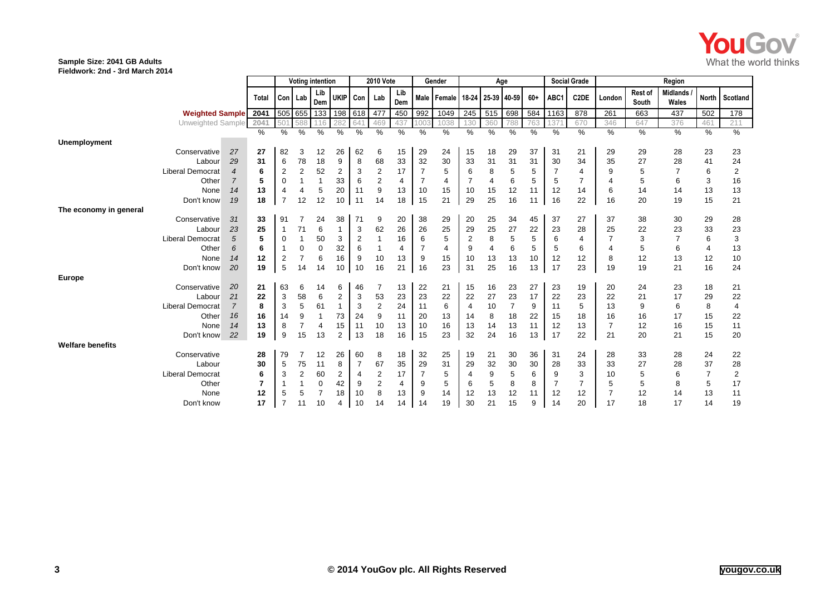

### **Sample Size: 2041 GB Adults**

**Fieldwork: 2nd - 3rd March 2014**

|                         |                |      | <b>Voting intention</b> |                |                | <b>2010 Vote</b> |                |                | Gender     |                | Age            |                   |      |     |       | <b>Social Grade</b> | Region            |                |                  |                          |                |                |
|-------------------------|----------------|------|-------------------------|----------------|----------------|------------------|----------------|----------------|------------|----------------|----------------|-------------------|------|-----|-------|---------------------|-------------------|----------------|------------------|--------------------------|----------------|----------------|
|                         | Total          |      | Con Lab                 |                | Lib<br>Dem     | <b>UKIP</b>      | Con            | Lab            | Lib<br>Dem | Male           | Female         | 18-24 25-39 40-59 |      |     | $60+$ | ABC1                | C <sub>2</sub> DE | London         | Rest of<br>South | <b>Midlands</b><br>Wales | <b>North</b>   | Scotland       |
| <b>Weighted Sample</b>  | 2041           |      | 505 655                 |                | 133            | 198              | 618            | 477            | 450        | 992            | 1049           | 245               | 515  | 698 | 584   | 1163                | 878               | 261            | 663              | 437                      | 502            | 178            |
| Unweighted Sample       | 2041           |      | 501                     | 588            | 116            | 282              | 641            | 469            | 437        | 100            | 1038           | 130               | 360  | 788 | 763   | 137                 | 670               | 346            | 647              | 376                      | 461            | 211            |
| <b>Unemployment</b>     |                | $\%$ | $\%$                    | $\%$           | %              | $\%$             | %              | %              | %          | $\%$           | $\%$           | $\%$              | $\%$ | %   | %     | %                   | %                 | $\frac{0}{0}$  | %                | $\%$                     | $\%$           | $\%$           |
| Conservative            | 27             | 27   | 82                      | 3              | 12             | 26               | 62             | 6              | 15         | 29             | 24             | 15                | 18   | 29  | 37    | 31                  | 21                | 29             | 29               | 28                       | 23             | 23             |
| Labour                  | 29<br>31       |      | 6                       | 78             | 18             | 9                | 8              | 68             | 33         | 32             | 30             | 33                | 31   | 31  | 31    | 30                  | 34                | 35             | 27               | 28                       | 41             | 24             |
| <b>Liberal Democrat</b> | $\overline{4}$ | 6    | $\overline{2}$          | $\overline{2}$ | 52             | 2                | 3              | $\overline{2}$ | 17         | $\overline{7}$ | 5              | 6                 | 8    | 5   | 5     |                     | $\overline{4}$    | 9              |                  |                          | 6              | $\overline{2}$ |
| Other                   | $\overline{7}$ | 5    | 0                       |                |                | 33               | 6              | 2              | 4          | 7              | $\overline{4}$ | 7                 | 4    | 6   | 5     | 5                   | 7                 | 4              | 5                | 6                        | 3              | 16             |
| None                    | 14             | 13   | 4                       |                | 5              | 20               | 11             | 9              | 13         | 10             | 15             | 10                | 15   | 12  | 11    | 12                  | 14                | 6              | 14               | 14                       | 13             | 13             |
| Don't know              | 19             | 18   | $\overline{7}$          | 12             | 12             | 10               | 11             | 14             | 18         | 15             | 21             | 29                | 25   | 16  | 11    | 16                  | 22                | 16             | 20               | 19                       | 15             | 21             |
| The economy in general  |                |      |                         |                |                |                  |                |                |            |                |                |                   |      |     |       |                     |                   |                |                  |                          |                |                |
| Conservative            | 31             | 33   | 91                      |                | 24             | 38               | 71             | 9              | 20         | 38             | 29             | 20                | 25   | 34  | 45    | 37                  | 27                | 37             | 38               | 30                       | 29             | 28             |
| Labour                  | 23             | 25   |                         | 71             | 6              |                  | 3              | 62             | 26         | 26             | 25             | 29                | 25   | 27  | 22    | 23                  | 28                | 25             | 22               | 23                       | 33             | 23             |
| <b>Liberal Democrat</b> | 5              | 5    | 0                       |                | 50             | 3                | $\overline{2}$ |                | 16         | 6              | 5              | 2                 | 8    | 5   | 5     | 6                   | 4                 |                | 3                |                          | 6              | 3              |
| Other                   | 6              | 6    |                         | 0              | 0              | 32               | 6              |                | 4          |                | 4              | 9                 | 4    | 6   | 5     | 5                   | 6                 | 4              | 5                | 6                        | 4              | 13             |
| None                    | 14             | 12   | $\overline{2}$          |                | 6              | 16               | 9              | 10             | 13         | 9              | 15             | 10                | 13   | 13  | 10    | 12                  | 12                | 8              | 12               | 13                       | 12             | 10             |
| Don't know              | 20             | 19   | 5                       | 14             | 14             | 10               | 10             | 16             | 21         | 16             | 23             | 31                | 25   | 16  | 13    | 17                  | 23                | 19             | 19               | 21                       | 16             | 24             |
| <b>Europe</b>           |                |      |                         |                |                |                  |                |                |            |                |                |                   |      |     |       |                     |                   |                |                  |                          |                |                |
| Conservative            | 20             | 21   | 63                      | 6              | 14             | 6                | 46             |                | 13         | 22             | 21             | 15                | 16   | 23  | 27    | 23                  | 19                | 20             | 24               | 23                       | 18             | 21             |
| Labour                  | 21             | 22   | 3                       | 58             | 6              | 2                | 3              | 53             | 23         | 23             | 22             | 22                | 27   | 23  | 17    | 22                  | 23                | 22             | 21               | 17                       | 29             | 22             |
| <b>Liberal Democrat</b> | $\overline{7}$ | 8    | 3                       | 5              | 61             |                  | 3              | $\overline{2}$ | 24         | 11             | 6              | $\overline{4}$    | 10   | 7   | 9     | 11                  | 5                 | 13             | 9                | 6                        | 8              | 4              |
| Other                   | 16             | 16   | 14                      | 9              |                | 73               | 24             | 9              | 11         | 20             | 13             | 14                | 8    | 18  | 22    | 15                  | 18                | 16             | 16               | 17                       | 15             | 22             |
| None                    | 14             | 13   | 8                       |                | $\overline{4}$ | 15               | 11             | 10             | 13         | 10             | 16             | 13                | 14   | 13  | 11    | 12                  | 13                | $\overline{7}$ | 12               | 16                       | 15             | 11             |
| Don't know              | 22             | 19   | 9                       | 15             | 13             | 2                | 13             | 18             | 16         | 15             | 23             | 32                | 24   | 16  | 13    | 17                  | 22                | 21             | 20               | 21                       | 15             | 20             |
| <b>Welfare benefits</b> |                |      |                         |                |                |                  |                |                |            |                |                |                   |      |     |       |                     |                   |                |                  |                          |                |                |
| Conservative            |                | 28   | 79                      |                | 12             | 26               | 60             | 8              | 18         | 32             | 25             | 19                | 21   | 30  | 36    | 31                  | 24                | 28             | 33               | 28                       | 24             | 22             |
| Labour                  |                | 30   | 5                       | 75             | 11             | 8                | -7             | 67             | 35         | 29             | 31             | 29                | 32   | 30  | 30    | 28                  | 33                | 33             | 27               | 28                       | 37             | 28             |
| <b>Liberal Democrat</b> |                | 6    | 3                       | $\overline{2}$ | 60             | 2                | $\overline{4}$ | $\overline{2}$ | 17         |                | 5              | 4                 | 9    | 5   | 6     | 9                   | 3                 | 10             |                  | 6                        | $\overline{7}$ | $\overline{2}$ |
| Other                   | 7              |      |                         |                | 0              | 42               | 9              | 2              | 4          | 9              | 5              | 6                 | 5    | 8   | 8     |                     |                   | 5              | 5                | 8                        | 5              | 17             |
| None                    |                | 12   | 5                       | 5              |                | 18               | 10             | 8              | 13         | 9              | 14             | 12                | 13   | 12  | 11    | 12                  | 12                | 7              | 12               | 14                       | 13             | 11             |
| Don't know              |                | 17   | 7                       |                | 10             | 4                | 10             | 14             | 14         | 14             | 19             | 30                | 21   | 15  | 9     | 14                  | 20                | 17             | 18               | 17                       | 14             | 19             |